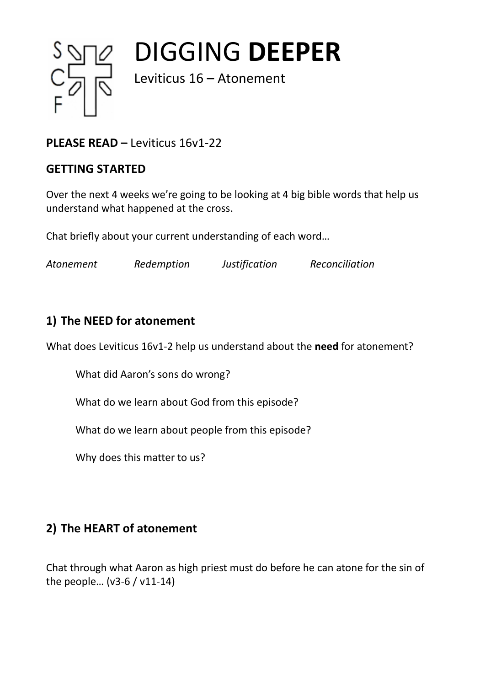

DIGGING **DEEPER**

Leviticus 16 – Atonement

# **PLEASE READ –** Leviticus 16v1-22

### **GETTING STARTED**

Over the next 4 weeks we're going to be looking at 4 big bible words that help us understand what happened at the cross.

Chat briefly about your current understanding of each word…

*Atonement Redemption Justification Reconciliation*

## **1) The NEED for atonement**

What does Leviticus 16v1-2 help us understand about the **need** for atonement?

What did Aaron's sons do wrong?

What do we learn about God from this episode?

What do we learn about people from this episode?

Why does this matter to us?

# **2) The HEART of atonement**

Chat through what Aaron as high priest must do before he can atone for the sin of the people… (v3-6 / v11-14)